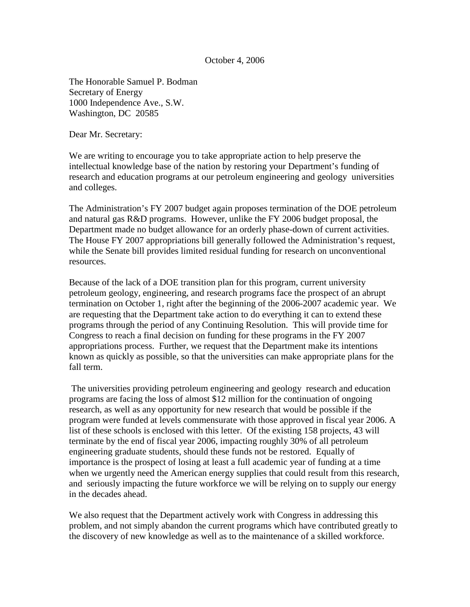October 4, 2006

The Honorable Samuel P. Bodman Secretary of Energy 1000 Independence Ave., S.W. Washington, DC 20585

Dear Mr. Secretary:

We are writing to encourage you to take appropriate action to help preserve the intellectual knowledge base of the nation by restoring your Department's funding of research and education programs at our petroleum engineering and geology universities and colleges.

The Administration's FY 2007 budget again proposes termination of the DOE petroleum and natural gas R&D programs. However, unlike the FY 2006 budget proposal, the Department made no budget allowance for an orderly phase-down of current activities. The House FY 2007 appropriations bill generally followed the Administration's request, while the Senate bill provides limited residual funding for research on unconventional resources.

Because of the lack of a DOE transition plan for this program, current university petroleum geology, engineering, and research programs face the prospect of an abrupt termination on October 1, right after the beginning of the 2006-2007 academic year. We are requesting that the Department take action to do everything it can to extend these programs through the period of any Continuing Resolution. This will provide time for Congress to reach a final decision on funding for these programs in the FY 2007 appropriations process. Further, we request that the Department make its intentions known as quickly as possible, so that the universities can make appropriate plans for the fall term.

The universities providing petroleum engineering and geology research and education programs are facing the loss of almost \$12 million for the continuation of ongoing research, as well as any opportunity for new research that would be possible if the program were funded at levels commensurate with those approved in fiscal year 2006. A list of these schools is enclosed with this letter. Of the existing 158 projects, 43 will terminate by the end of fiscal year 2006, impacting roughly 30% of all petroleum engineering graduate students, should these funds not be restored. Equally of importance is the prospect of losing at least a full academic year of funding at a time when we urgently need the American energy supplies that could result from this research, and seriously impacting the future workforce we will be relying on to supply our energy in the decades ahead.

We also request that the Department actively work with Congress in addressing this problem, and not simply abandon the current programs which have contributed greatly to the discovery of new knowledge as well as to the maintenance of a skilled workforce.